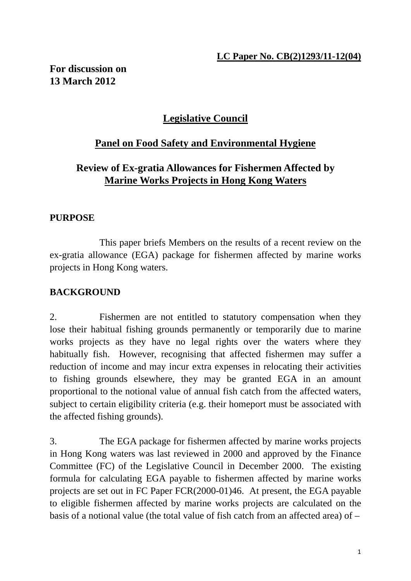### **For discussion on 13 March 2012**

# **Legislative Council**

## **Panel on Food Safety and Environmental Hygiene**

## **Review of Ex-gratia Allowances for Fishermen Affected by Marine Works Projects in Hong Kong Waters**

### **PURPOSE**

 This paper briefs Members on the results of a recent review on the ex-gratia allowance (EGA) package for fishermen affected by marine works projects in Hong Kong waters.

### **BACKGROUND**

2. Fishermen are not entitled to statutory compensation when they lose their habitual fishing grounds permanently or temporarily due to marine works projects as they have no legal rights over the waters where they habitually fish. However, recognising that affected fishermen may suffer a reduction of income and may incur extra expenses in relocating their activities to fishing grounds elsewhere, they may be granted EGA in an amount proportional to the notional value of annual fish catch from the affected waters, subject to certain eligibility criteria (e.g. their homeport must be associated with the affected fishing grounds).

3. The EGA package for fishermen affected by marine works projects in Hong Kong waters was last reviewed in 2000 and approved by the Finance Committee (FC) of the Legislative Council in December 2000. The existing formula for calculating EGA payable to fishermen affected by marine works projects are set out in FC Paper FCR(2000-01)46. At present, the EGA payable to eligible fishermen affected by marine works projects are calculated on the basis of a notional value (the total value of fish catch from an affected area) of –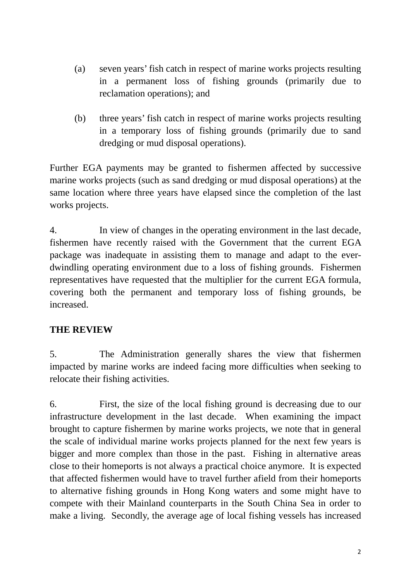- (a) seven years' fish catch in respect of marine works projects resulting in a permanent loss of fishing grounds (primarily due to reclamation operations); and
- (b) three years' fish catch in respect of marine works projects resulting in a temporary loss of fishing grounds (primarily due to sand dredging or mud disposal operations).

Further EGA payments may be granted to fishermen affected by successive marine works projects (such as sand dredging or mud disposal operations) at the same location where three years have elapsed since the completion of the last works projects.

4. In view of changes in the operating environment in the last decade, fishermen have recently raised with the Government that the current EGA package was inadequate in assisting them to manage and adapt to the everdwindling operating environment due to a loss of fishing grounds. Fishermen representatives have requested that the multiplier for the current EGA formula, covering both the permanent and temporary loss of fishing grounds, be increased.

#### **THE REVIEW**

5. The Administration generally shares the view that fishermen impacted by marine works are indeed facing more difficulties when seeking to relocate their fishing activities.

6. First, the size of the local fishing ground is decreasing due to our infrastructure development in the last decade. When examining the impact brought to capture fishermen by marine works projects, we note that in general the scale of individual marine works projects planned for the next few years is bigger and more complex than those in the past. Fishing in alternative areas close to their homeports is not always a practical choice anymore. It is expected that affected fishermen would have to travel further afield from their homeports to alternative fishing grounds in Hong Kong waters and some might have to compete with their Mainland counterparts in the South China Sea in order to make a living. Secondly, the average age of local fishing vessels has increased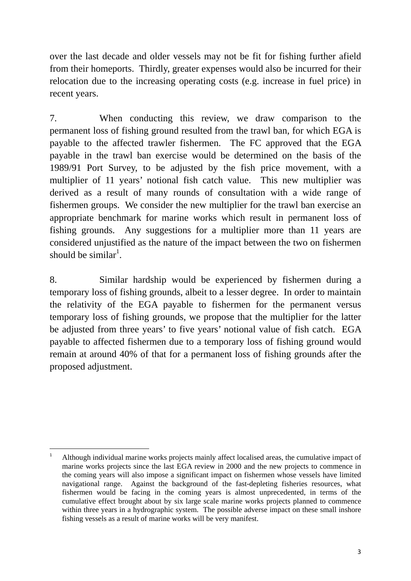over the last decade and older vessels may not be fit for fishing further afield from their homeports. Thirdly, greater expenses would also be incurred for their relocation due to the increasing operating costs (e.g. increase in fuel price) in recent years.

7. When conducting this review, we draw comparison to the permanent loss of fishing ground resulted from the trawl ban, for which EGA is payable to the affected trawler fishermen. The FC approved that the EGA payable in the trawl ban exercise would be determined on the basis of the 1989/91 Port Survey, to be adjusted by the fish price movement, with a multiplier of 11 years' notional fish catch value. This new multiplier was derived as a result of many rounds of consultation with a wide range of fishermen groups. We consider the new multiplier for the trawl ban exercise an appropriate benchmark for marine works which result in permanent loss of fishing grounds. Any suggestions for a multiplier more than 11 years are considered unjustified as the nature of the impact between the two on fishermen should be similar<sup>1</sup>.

8. Similar hardship would be experienced by fishermen during a temporary loss of fishing grounds, albeit to a lesser degree. In order to maintain the relativity of the EGA payable to fishermen for the permanent versus temporary loss of fishing grounds, we propose that the multiplier for the latter be adjusted from three years' to five years' notional value of fish catch. EGA payable to affected fishermen due to a temporary loss of fishing ground would remain at around 40% of that for a permanent loss of fishing grounds after the proposed adjustment.

<sup>1</sup> Although individual marine works projects mainly affect localised areas, the cumulative impact of marine works projects since the last EGA review in 2000 and the new projects to commence in the coming years will also impose a significant impact on fishermen whose vessels have limited navigational range. Against the background of the fast-depleting fisheries resources, what fishermen would be facing in the coming years is almost unprecedented, in terms of the cumulative effect brought about by six large scale marine works projects planned to commence within three years in a hydrographic system. The possible adverse impact on these small inshore fishing vessels as a result of marine works will be very manifest.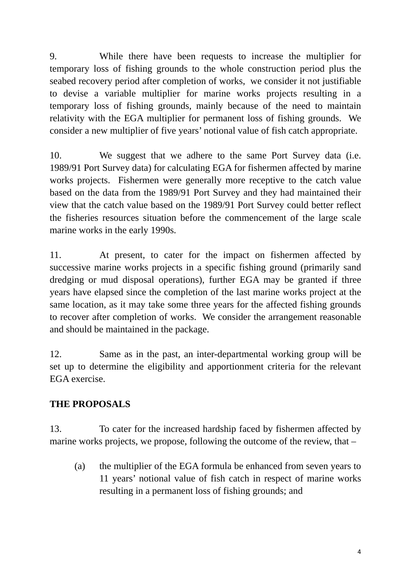9. While there have been requests to increase the multiplier for temporary loss of fishing grounds to the whole construction period plus the seabed recovery period after completion of works, we consider it not justifiable to devise a variable multiplier for marine works projects resulting in a temporary loss of fishing grounds, mainly because of the need to maintain relativity with the EGA multiplier for permanent loss of fishing grounds. We consider a new multiplier of five years' notional value of fish catch appropriate.

10. We suggest that we adhere to the same Port Survey data (i.e. 1989/91 Port Survey data) for calculating EGA for fishermen affected by marine works projects. Fishermen were generally more receptive to the catch value based on the data from the 1989/91 Port Survey and they had maintained their view that the catch value based on the 1989/91 Port Survey could better reflect the fisheries resources situation before the commencement of the large scale marine works in the early 1990s.

11. At present, to cater for the impact on fishermen affected by successive marine works projects in a specific fishing ground (primarily sand dredging or mud disposal operations), further EGA may be granted if three years have elapsed since the completion of the last marine works project at the same location, as it may take some three years for the affected fishing grounds to recover after completion of works. We consider the arrangement reasonable and should be maintained in the package.

12. Same as in the past, an inter-departmental working group will be set up to determine the eligibility and apportionment criteria for the relevant EGA exercise.

## **THE PROPOSALS**

13. To cater for the increased hardship faced by fishermen affected by marine works projects, we propose, following the outcome of the review, that –

(a) the multiplier of the EGA formula be enhanced from seven years to 11 years' notional value of fish catch in respect of marine works resulting in a permanent loss of fishing grounds; and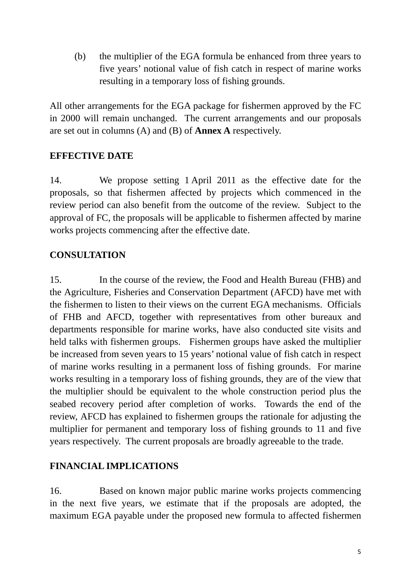(b) the multiplier of the EGA formula be enhanced from three years to five years' notional value of fish catch in respect of marine works resulting in a temporary loss of fishing grounds.

All other arrangements for the EGA package for fishermen approved by the FC in 2000 will remain unchanged. The current arrangements and our proposals are set out in columns (A) and (B) of **Annex A** respectively.

### **EFFECTIVE DATE**

14. We propose setting 1 April 2011 as the effective date for the proposals, so that fishermen affected by projects which commenced in the review period can also benefit from the outcome of the review. Subject to the approval of FC, the proposals will be applicable to fishermen affected by marine works projects commencing after the effective date.

#### **CONSULTATION**

15. In the course of the review, the Food and Health Bureau (FHB) and the Agriculture, Fisheries and Conservation Department (AFCD) have met with the fishermen to listen to their views on the current EGA mechanisms. Officials of FHB and AFCD, together with representatives from other bureaux and departments responsible for marine works, have also conducted site visits and held talks with fishermen groups. Fishermen groups have asked the multiplier be increased from seven years to 15 years' notional value of fish catch in respect of marine works resulting in a permanent loss of fishing grounds. For marine works resulting in a temporary loss of fishing grounds, they are of the view that the multiplier should be equivalent to the whole construction period plus the seabed recovery period after completion of works. Towards the end of the review, AFCD has explained to fishermen groups the rationale for adjusting the multiplier for permanent and temporary loss of fishing grounds to 11 and five years respectively. The current proposals are broadly agreeable to the trade.

#### **FINANCIAL IMPLICATIONS**

16. Based on known major public marine works projects commencing in the next five years, we estimate that if the proposals are adopted, the maximum EGA payable under the proposed new formula to affected fishermen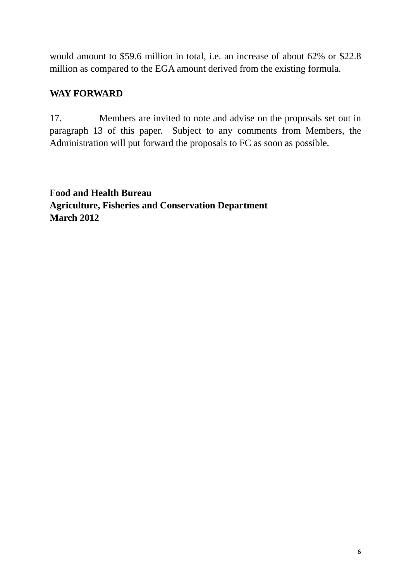would amount to \$59.6 million in total, i.e. an increase of about 62% or \$22.8 million as compared to the EGA amount derived from the existing formula.

### **WAY FORWARD**

17. Members are invited to note and advise on the proposals set out in paragraph 13 of this paper. Subject to any comments from Members, the Administration will put forward the proposals to FC as soon as possible.

**Food and Health Bureau Agriculture, Fisheries and Conservation Department March 2012**